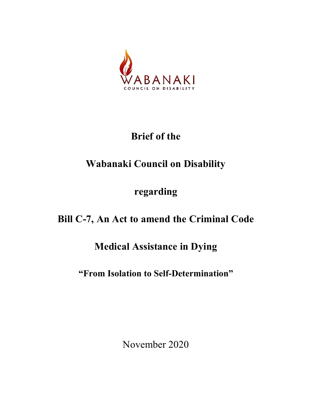

# **Brief of the**

# **Wabanaki Council on Disability**

## **regarding**

## **Bill C-7, An Act to amend the Criminal Code**

### **Medical Assistance in Dying**

### **"From Isolation to Self-Determination"**

November 2020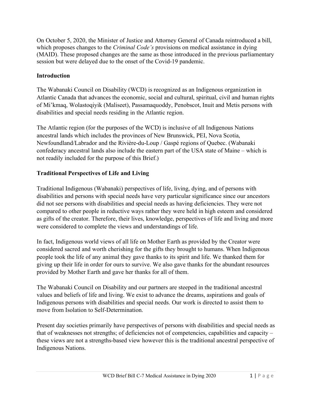On October 5, 2020, the Minister of Justice and Attorney General of Canada reintroduced a bill, which proposes changes to the *Criminal Code's* provisions on medical assistance in dying (MAID). These proposed changes are the same as those introduced in the previous parliamentary session but were delayed due to the onset of the Covid-19 pandemic.

#### **Introduction**

The Wabanaki Council on Disability (WCD) is recognized as an Indigenous organization in Atlantic Canada that advances the economic, social and cultural, spiritual, civil and human rights of Mi'kmaq, Wolastoqiyik (Maliseet), Passamaquoddy, Penobscot, Inuit and Metis persons with disabilities and special needs residing in the Atlantic region.

The Atlantic region (for the purposes of the WCD) is inclusive of all Indigenous Nations ancestral lands which includes the provinces of New Brunswick, PEI, Nova Scotia, Newfoundland/Labrador and the Rivière-du-Loup / Gaspé regions of Quebec. (Wabanaki confederacy ancestral lands also include the eastern part of the USA state of Maine – which is not readily included for the purpose of this Brief.)

#### **Traditional Perspectives of Life and Living**

Traditional Indigenous (Wabanaki) perspectives of life, living, dying, and of persons with disabilities and persons with special needs have very particular significance since our ancestors did not see persons with disabilities and special needs as having deficiencies. They were not compared to other people in reductive ways rather they were held in high esteem and considered as gifts of the creator. Therefore, their lives, knowledge, perspectives of life and living and more were considered to complete the views and understandings of life.

In fact, Indigenous world views of all life on Mother Earth as provided by the Creator were considered sacred and worth cherishing for the gifts they brought to humans. When Indigenous people took the life of any animal they gave thanks to its spirit and life. We thanked them for giving up their life in order for ours to survive. We also gave thanks for the abundant resources provided by Mother Earth and gave her thanks for all of them.

The Wabanaki Council on Disability and our partners are steeped in the traditional ancestral values and beliefs of life and living. We exist to advance the dreams, aspirations and goals of Indigenous persons with disabilities and special needs. Our work is directed to assist them to move from Isolation to Self-Determination.

Present day societies primarily have perspectives of persons with disabilities and special needs as that of weaknesses not strengths; of deficiencies not of competencies, capabilities and capacity – these views are not a strengths-based view however this is the traditional ancestral perspective of Indigenous Nations.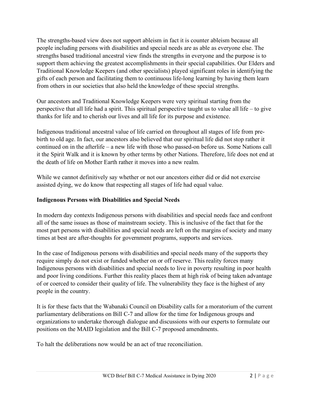The strengths-based view does not support ableism in fact it is counter ableism because all people including persons with disabilities and special needs are as able as everyone else. The strengths based traditional ancestral view finds the strengths in everyone and the purpose is to support them achieving the greatest accomplishments in their special capabilities. Our Elders and Traditional Knowledge Keepers (and other specialists) played significant roles in identifying the gifts of each person and facilitating them to continuous life-long learning by having them learn from others in our societies that also held the knowledge of these special strengths.

Our ancestors and Traditional Knowledge Keepers were very spiritual starting from the perspective that all life had a spirit. This spiritual perspective taught us to value all life – to give thanks for life and to cherish our lives and all life for its purpose and existence.

Indigenous traditional ancestral value of life carried on throughout all stages of life from prebirth to old age. In fact, our ancestors also believed that our spiritual life did not stop rather it continued on in the afterlife – a new life with those who passed-on before us. Some Nations call it the Spirit Walk and it is known by other terms by other Nations. Therefore, life does not end at the death of life on Mother Earth rather it moves into a new realm.

While we cannot definitively say whether or not our ancestors either did or did not exercise assisted dying, we do know that respecting all stages of life had equal value.

#### **Indigenous Persons with Disabilities and Special Needs**

In modern day contexts Indigenous persons with disabilities and special needs face and confront all of the same issues as those of mainstream society. This is inclusive of the fact that for the most part persons with disabilities and special needs are left on the margins of society and many times at best are after-thoughts for government programs, supports and services.

In the case of Indigenous persons with disabilities and special needs many of the supports they require simply do not exist or funded whether on or off reserve. This reality forces many Indigenous persons with disabilities and special needs to live in poverty resulting in poor health and poor living conditions. Further this reality places them at high risk of being taken advantage of or coerced to consider their quality of life. The vulnerability they face is the highest of any people in the country.

It is for these facts that the Wabanaki Council on Disability calls for a moratorium of the current parliamentary deliberations on Bill C-7 and allow for the time for Indigenous groups and organizations to undertake thorough dialogue and discussions with our experts to formulate our positions on the MAID legislation and the Bill C-7 proposed amendments.

To halt the deliberations now would be an act of true reconciliation.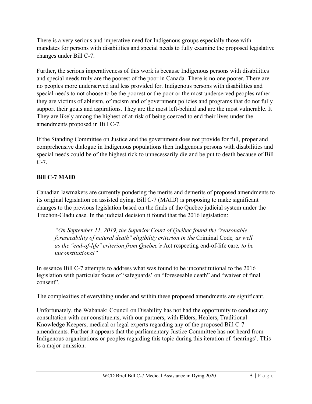There is a very serious and imperative need for Indigenous groups especially those with mandates for persons with disabilities and special needs to fully examine the proposed legislative changes under Bill C-7.

Further, the serious imperativeness of this work is because Indigenous persons with disabilities and special needs truly are the poorest of the poor in Canada. There is no one poorer. There are no peoples more underserved and less provided for. Indigenous persons with disabilities and special needs to not choose to be the poorest or the poor or the most underserved peoples rather they are victims of ableism, of racism and of government policies and programs that do not fully support their goals and aspirations. They are the most left-behind and are the most vulnerable. It They are likely among the highest of at-risk of being coerced to end their lives under the amendments proposed in Bill C-7.

If the Standing Committee on Justice and the government does not provide for full, proper and comprehensive dialogue in Indigenous populations then Indigenous persons with disabilities and special needs could be of the highest rick to unnecessarily die and be put to death because of Bill C-7.

#### **Bill C-7 MAID**

Canadian lawmakers are currently pondering the merits and demerits of proposed amendments to its original legislation on assisted dying. Bill C-7 (MAID) is proposing to make significant changes to the previous legislation based on the finds of the Quebec judicial system under the Truchon-Gladu case. In the judicial decision it found that the 2016 legislation:

*"On September 11, 2019, the Superior Court of Québec found the "reasonable foreseeability of natural death" eligibility criterion in the* Criminal Code*, as well as the "end-of-life" criterion from Quebec's* Act respecting end-of-life care*, to be unconstitutional"*

In essence Bill C-7 attempts to address what was found to be unconstitutional to the 2016 legislation with particular focus of 'safeguards' on "foreseeable death" and "waiver of final consent".

The complexities of everything under and within these proposed amendments are significant.

Unfortunately, the Wabanaki Council on Disability has not had the opportunity to conduct any consultation with our constituents, with our partners, with Elders, Healers, Traditional Knowledge Keepers, medical or legal experts regarding any of the proposed Bill C-7 amendments. Further it appears that the parliamentary Justice Committee has not heard from Indigenous organizations or peoples regarding this topic during this iteration of 'hearings'. This is a major omission.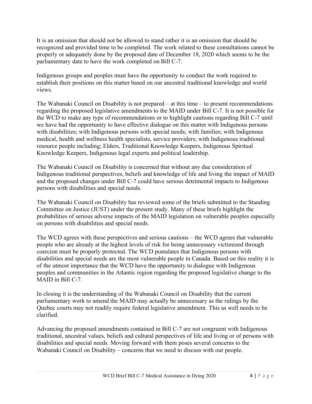It is an omission that should not be allowed to stand rather it is an omission that should be recognized and provided time to be completed. The work related to these consultations cannot be properly or adequately done by the proposed date of December 18, 2020 which seems to be the parliamentary date to have the work completed on Bill C-7.

Indigenous groups and peoples must have the opportunity to conduct the work required to establish their positions on this matter based on our ancestral traditional knowledge and world views.

The Wabanaki Council on Disability is not prepared – at this time – to present recommendations regarding the proposed legislative amendments to the MAID under Bill C-7. It is not possible for the WCD to make any type of recommendations or to highlight cautions regarding Bill C-7 until we have had the opportunity to have effective dialogue on this matter with Indigenous persons with disabilities; with Indigenous persons with special needs; with families; with Indigenous medical, health and wellness health specialists, service providers; with Indigenous traditional resource people including; Elders, Traditional Knowledge Keepers, Indigenous Spiritual Knowledge Keepers, Indigenous legal experts and political leadership.

The Wabanaki Council on Disability is concerned that without any due consideration of Indigenous traditional perspectives, beliefs and knowledge of life and living the impact of MAID and the proposed changes under Bill C-7 could have serious detrimental impacts to Indigenous persons with disabilities and special needs.

The Wabanaki Council on Disability has reviewed some of the briefs submitted to the Standing Committee on Justice (JUST) under the present study. Many of these briefs highlight the probabilities of serious adverse impacts of the MAID legislation on vulnerable peoples especially on persons with disabilities and special needs.

The WCD agrees with these perspectives and serious cautions – the WCD agrees that vulnerable people who are already at the highest levels of risk for being unnecessary victimized through coercion must be properly protected. The WCD postulates that Indigenous persons with disabilities and special needs are the most vulnerable people in Canada. Based on this reality it is of the utmost importance that the WCD have the opportunity to dialogue with Indigenous peoples and communities in the Atlantic region regarding the proposed legislative change to the MAID in Bill C-7.

In closing it is the understanding of the Wabanaki Council on Disability that the current parliamentary work to amend the MAID may actually be unnecessary as the rulings by the Quebec courts may not readily require federal legislative amendment. This as well needs to be clarified.

Advancing the proposed amendments contained in Bill C-7 are not congruent with Indigenous traditional, ancestral values, beliefs and cultural perspectives of life and living or of persons with disabilities and special needs. Moving forward with them poses several concerns to the Wabanaki Council on Disability – concerns that we need to discuss with our people.